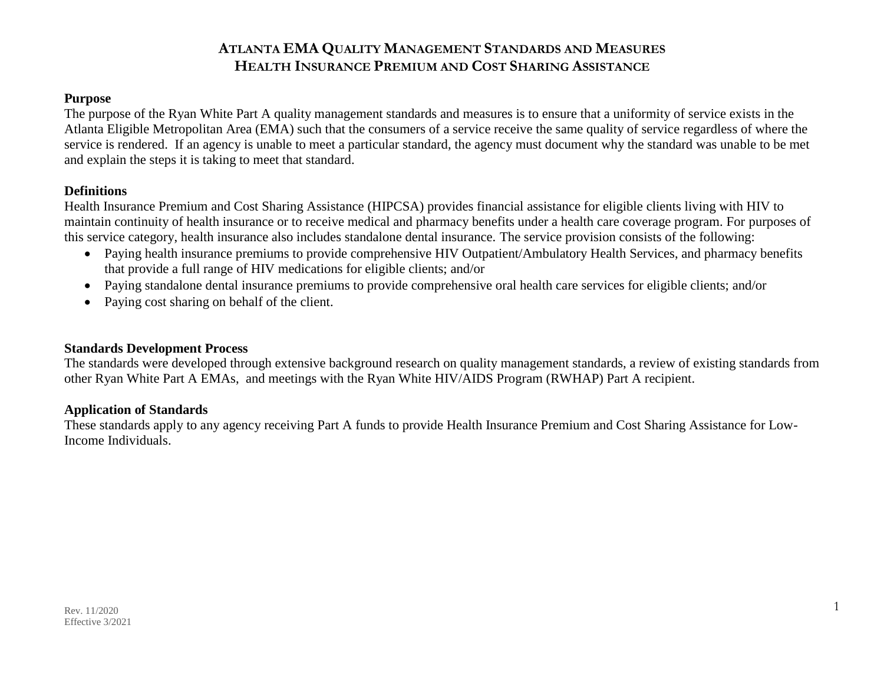#### **Purpose**

The purpose of the Ryan White Part A quality management standards and measures is to ensure that a uniformity of service exists in the Atlanta Eligible Metropolitan Area (EMA) such that the consumers of a service receive the same quality of service regardless of where the service is rendered. If an agency is unable to meet a particular standard, the agency must document why the standard was unable to be met and explain the steps it is taking to meet that standard.

#### **Definitions**

Health Insurance Premium and Cost Sharing Assistance (HIPCSA) provides financial assistance for eligible clients living with HIV to maintain continuity of health insurance or to receive medical and pharmacy benefits under a health care coverage program. For purposes of this service category, health insurance also includes standalone dental insurance. The service provision consists of the following:

- Paying health insurance premiums to provide comprehensive HIV Outpatient/Ambulatory Health Services, and pharmacy benefits that provide a full range of HIV medications for eligible clients; and/or
- Paying standalone dental insurance premiums to provide comprehensive oral health care services for eligible clients; and/or
- Paying cost sharing on behalf of the client.

#### **Standards Development Process**

The standards were developed through extensive background research on quality management standards, a review of existing standards from other Ryan White Part A EMAs, and meetings with the Ryan White HIV/AIDS Program (RWHAP) Part A recipient.

#### **Application of Standards**

These standards apply to any agency receiving Part A funds to provide Health Insurance Premium and Cost Sharing Assistance for Low-Income Individuals.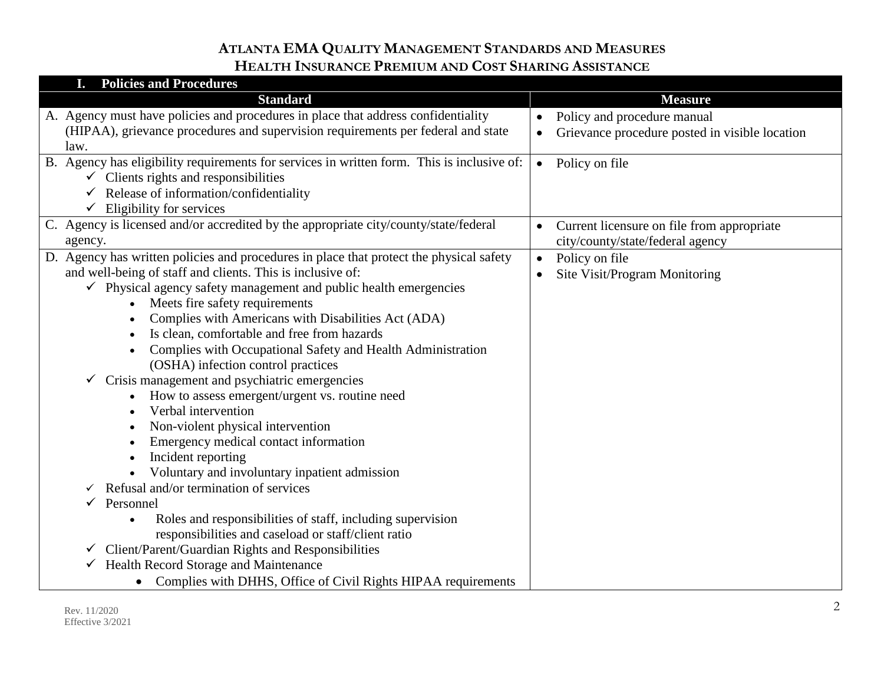| <b>Policies and Procedures</b>                                                             |                                                             |
|--------------------------------------------------------------------------------------------|-------------------------------------------------------------|
| <b>Standard</b>                                                                            | <b>Measure</b>                                              |
| A. Agency must have policies and procedures in place that address confidentiality          | Policy and procedure manual<br>$\bullet$                    |
| (HIPAA), grievance procedures and supervision requirements per federal and state           | Grievance procedure posted in visible location<br>$\bullet$ |
| law.                                                                                       |                                                             |
| B. Agency has eligibility requirements for services in written form. This is inclusive of: | Policy on file<br>$\bullet$                                 |
| $\checkmark$ Clients rights and responsibilities                                           |                                                             |
| Release of information/confidentiality                                                     |                                                             |
| Eligibility for services<br>$\checkmark$                                                   |                                                             |
| C. Agency is licensed and/or accredited by the appropriate city/county/state/federal       | Current licensure on file from appropriate<br>$\bullet$     |
| agency.                                                                                    | city/county/state/federal agency                            |
| D. Agency has written policies and procedures in place that protect the physical safety    | Policy on file<br>$\bullet$                                 |
| and well-being of staff and clients. This is inclusive of:                                 | Site Visit/Program Monitoring<br>$\bullet$                  |
| Physical agency safety management and public health emergencies<br>✓                       |                                                             |
| Meets fire safety requirements                                                             |                                                             |
| Complies with Americans with Disabilities Act (ADA)                                        |                                                             |
| Is clean, comfortable and free from hazards<br>$\bullet$                                   |                                                             |
| Complies with Occupational Safety and Health Administration                                |                                                             |
| (OSHA) infection control practices                                                         |                                                             |
| Crisis management and psychiatric emergencies                                              |                                                             |
| How to assess emergent/urgent vs. routine need                                             |                                                             |
| Verbal intervention                                                                        |                                                             |
| Non-violent physical intervention                                                          |                                                             |
| Emergency medical contact information                                                      |                                                             |
| Incident reporting<br>$\bullet$<br>Voluntary and involuntary inpatient admission           |                                                             |
| Refusal and/or termination of services                                                     |                                                             |
| Personnel                                                                                  |                                                             |
| Roles and responsibilities of staff, including supervision<br>$\bullet$                    |                                                             |
| responsibilities and caseload or staff/client ratio                                        |                                                             |
| Client/Parent/Guardian Rights and Responsibilities<br>$\checkmark$                         |                                                             |
| Health Record Storage and Maintenance                                                      |                                                             |
| Complies with DHHS, Office of Civil Rights HIPAA requirements                              |                                                             |
|                                                                                            |                                                             |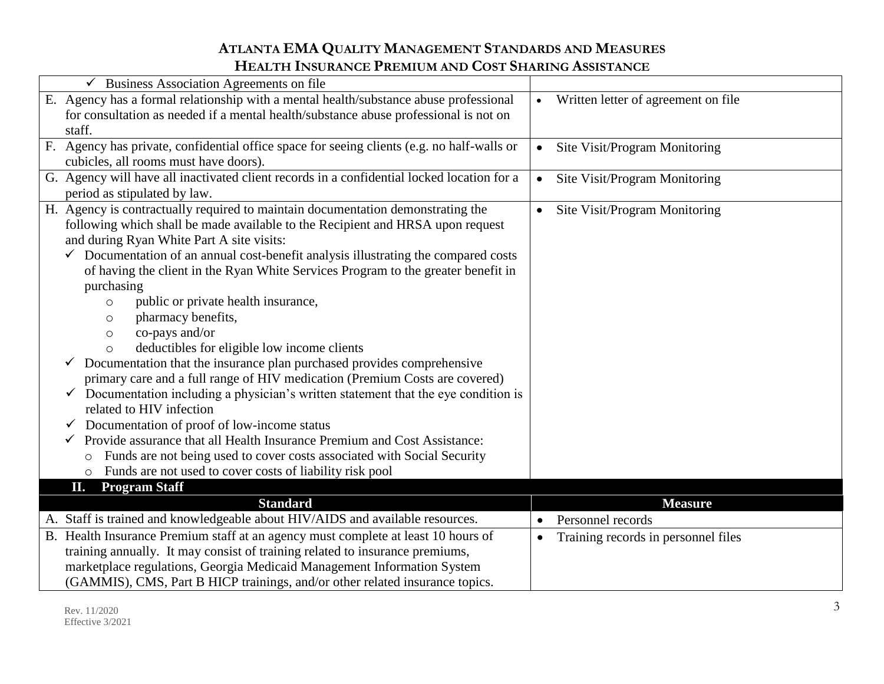| Business Association Agreements on file                                                        |                                                  |
|------------------------------------------------------------------------------------------------|--------------------------------------------------|
| E. Agency has a formal relationship with a mental health/substance abuse professional          | Written letter of agreement on file<br>$\bullet$ |
| for consultation as needed if a mental health/substance abuse professional is not on           |                                                  |
| staff.                                                                                         |                                                  |
| F. Agency has private, confidential office space for seeing clients (e.g. no half-walls or     | Site Visit/Program Monitoring<br>$\bullet$       |
| cubicles, all rooms must have doors).                                                          |                                                  |
| G. Agency will have all inactivated client records in a confidential locked location for a     | Site Visit/Program Monitoring                    |
| period as stipulated by law.                                                                   |                                                  |
| H. Agency is contractually required to maintain documentation demonstrating the                | Site Visit/Program Monitoring<br>$\bullet$       |
| following which shall be made available to the Recipient and HRSA upon request                 |                                                  |
| and during Ryan White Part A site visits:                                                      |                                                  |
| $\checkmark$ Documentation of an annual cost-benefit analysis illustrating the compared costs  |                                                  |
| of having the client in the Ryan White Services Program to the greater benefit in              |                                                  |
| purchasing                                                                                     |                                                  |
| public or private health insurance,<br>$\circ$                                                 |                                                  |
| pharmacy benefits,<br>O                                                                        |                                                  |
| co-pays and/or<br>$\circ$                                                                      |                                                  |
| deductibles for eligible low income clients<br>$\circ$                                         |                                                  |
| $\checkmark$ Documentation that the insurance plan purchased provides comprehensive            |                                                  |
| primary care and a full range of HIV medication (Premium Costs are covered)                    |                                                  |
| $\checkmark$ Documentation including a physician's written statement that the eye condition is |                                                  |
| related to HIV infection                                                                       |                                                  |
| Documentation of proof of low-income status<br>✓                                               |                                                  |
| Provide assurance that all Health Insurance Premium and Cost Assistance:<br>$\checkmark$       |                                                  |
| Funds are not being used to cover costs associated with Social Security<br>$\circ$             |                                                  |
| Funds are not used to cover costs of liability risk pool<br>$\circ$                            |                                                  |
| <b>Program Staff</b><br>П,                                                                     |                                                  |
| <b>Standard</b>                                                                                | <b>Measure</b>                                   |
| A. Staff is trained and knowledgeable about HIV/AIDS and available resources.                  | Personnel records<br>$\bullet$                   |
| B. Health Insurance Premium staff at an agency must complete at least 10 hours of              | Training records in personnel files<br>$\bullet$ |
| training annually. It may consist of training related to insurance premiums,                   |                                                  |
| marketplace regulations, Georgia Medicaid Management Information System                        |                                                  |
| (GAMMIS), CMS, Part B HICP trainings, and/or other related insurance topics.                   |                                                  |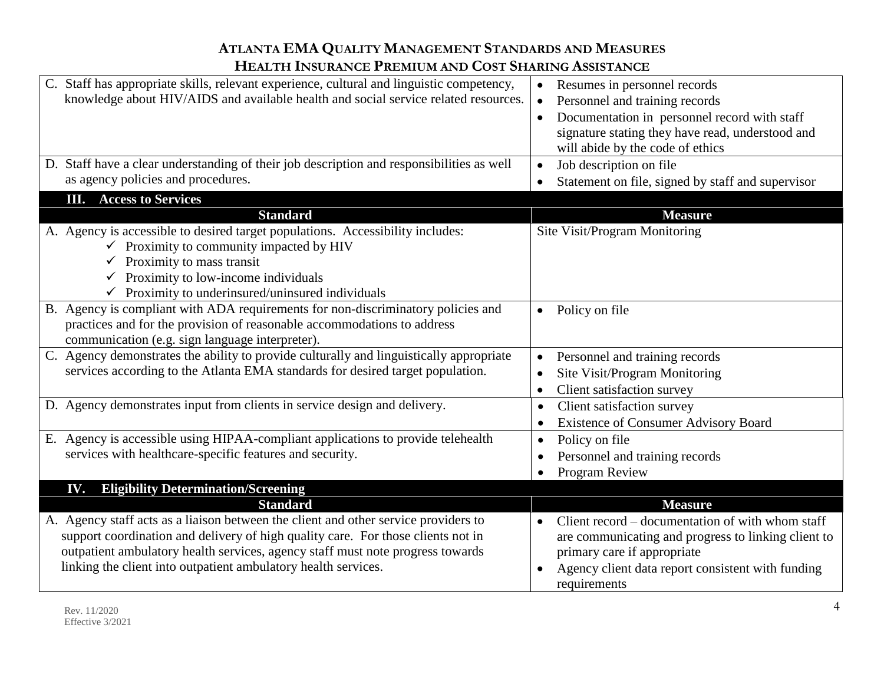| C. Staff has appropriate skills, relevant experience, cultural and linguistic competency,<br>knowledge about HIV/AIDS and available health and social service related resources.                                                                                          | Resumes in personnel records<br>$\bullet$<br>Personnel and training records<br>Documentation in personnel record with staff<br>$\bullet$<br>signature stating they have read, understood and<br>will abide by the code of ethics |
|---------------------------------------------------------------------------------------------------------------------------------------------------------------------------------------------------------------------------------------------------------------------------|----------------------------------------------------------------------------------------------------------------------------------------------------------------------------------------------------------------------------------|
| D. Staff have a clear understanding of their job description and responsibilities as well                                                                                                                                                                                 | Job description on file<br>$\bullet$                                                                                                                                                                                             |
| as agency policies and procedures.                                                                                                                                                                                                                                        | Statement on file, signed by staff and supervisor<br>$\bullet$                                                                                                                                                                   |
| <b>III.</b> Access to Services                                                                                                                                                                                                                                            |                                                                                                                                                                                                                                  |
| <b>Standard</b>                                                                                                                                                                                                                                                           | <b>Measure</b>                                                                                                                                                                                                                   |
| A. Agency is accessible to desired target populations. Accessibility includes:<br>$\checkmark$ Proximity to community impacted by HIV<br>Proximity to mass transit<br>Proximity to low-income individuals<br>$\checkmark$ Proximity to underinsured/uninsured individuals | Site Visit/Program Monitoring                                                                                                                                                                                                    |
| B. Agency is compliant with ADA requirements for non-discriminatory policies and<br>practices and for the provision of reasonable accommodations to address<br>communication (e.g. sign language interpreter).                                                            | Policy on file<br>$\bullet$                                                                                                                                                                                                      |
| C. Agency demonstrates the ability to provide culturally and linguistically appropriate                                                                                                                                                                                   | Personnel and training records<br>$\bullet$                                                                                                                                                                                      |
| services according to the Atlanta EMA standards for desired target population.                                                                                                                                                                                            | Site Visit/Program Monitoring<br>$\bullet$                                                                                                                                                                                       |
|                                                                                                                                                                                                                                                                           | Client satisfaction survey<br>$\bullet$                                                                                                                                                                                          |
| D. Agency demonstrates input from clients in service design and delivery.                                                                                                                                                                                                 | Client satisfaction survey<br>$\bullet$                                                                                                                                                                                          |
|                                                                                                                                                                                                                                                                           | <b>Existence of Consumer Advisory Board</b><br>$\bullet$                                                                                                                                                                         |
| E. Agency is accessible using HIPAA-compliant applications to provide telehealth                                                                                                                                                                                          | Policy on file<br>$\bullet$                                                                                                                                                                                                      |
| services with healthcare-specific features and security.                                                                                                                                                                                                                  | Personnel and training records<br>٠                                                                                                                                                                                              |
|                                                                                                                                                                                                                                                                           | Program Review                                                                                                                                                                                                                   |
| <b>Eligibility Determination/Screening</b><br>IV.                                                                                                                                                                                                                         |                                                                                                                                                                                                                                  |
| <b>Standard</b>                                                                                                                                                                                                                                                           | <b>Measure</b>                                                                                                                                                                                                                   |
| A. Agency staff acts as a liaison between the client and other service providers to                                                                                                                                                                                       | Client record – documentation of with whom staff<br>$\bullet$                                                                                                                                                                    |
| support coordination and delivery of high quality care. For those clients not in                                                                                                                                                                                          | are communicating and progress to linking client to                                                                                                                                                                              |
| outpatient ambulatory health services, agency staff must note progress towards                                                                                                                                                                                            | primary care if appropriate                                                                                                                                                                                                      |
| linking the client into outpatient ambulatory health services.                                                                                                                                                                                                            | Agency client data report consistent with funding<br>$\bullet$<br>requirements                                                                                                                                                   |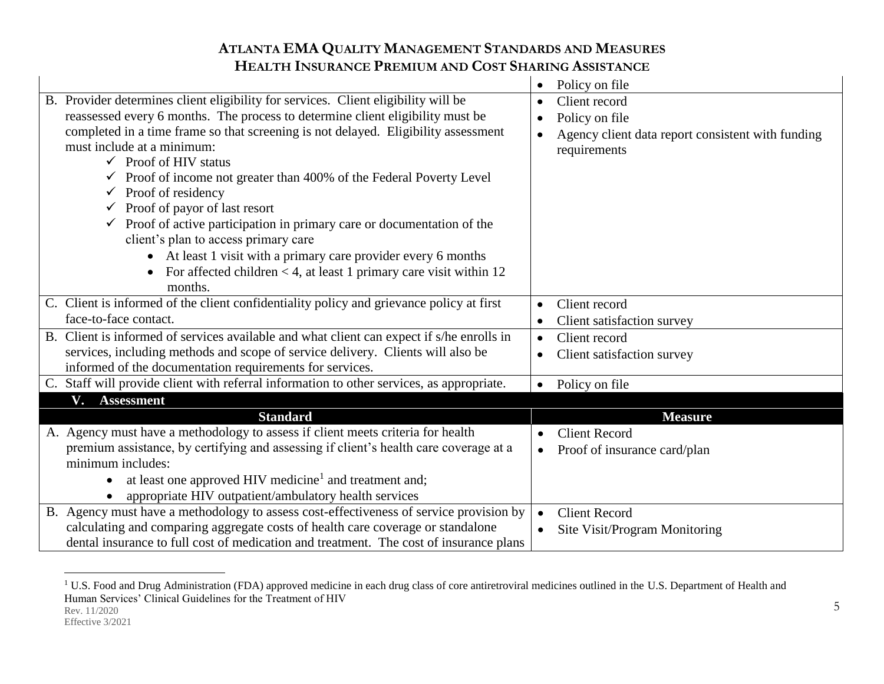|                                                                                           | Policy on file<br>$\bullet$                                    |
|-------------------------------------------------------------------------------------------|----------------------------------------------------------------|
| B. Provider determines client eligibility for services. Client eligibility will be        | Client record<br>$\bullet$                                     |
| reassessed every 6 months. The process to determine client eligibility must be            | Policy on file<br>$\bullet$                                    |
| completed in a time frame so that screening is not delayed. Eligibility assessment        | Agency client data report consistent with funding<br>$\bullet$ |
| must include at a minimum:                                                                | requirements                                                   |
| $\checkmark$ Proof of HIV status                                                          |                                                                |
| Proof of income not greater than 400% of the Federal Poverty Level                        |                                                                |
| $\checkmark$ Proof of residency                                                           |                                                                |
| $\checkmark$ Proof of payor of last resort                                                |                                                                |
| $\checkmark$ Proof of active participation in primary care or documentation of the        |                                                                |
| client's plan to access primary care                                                      |                                                                |
| • At least 1 visit with a primary care provider every 6 months                            |                                                                |
| For affected children $<$ 4, at least 1 primary care visit within 12                      |                                                                |
| months.                                                                                   |                                                                |
| C. Client is informed of the client confidentiality policy and grievance policy at first  | Client record<br>$\bullet$                                     |
| face-to-face contact.                                                                     | Client satisfaction survey<br>$\bullet$                        |
| B. Client is informed of services available and what client can expect if s/he enrolls in | Client record<br>$\bullet$                                     |
| services, including methods and scope of service delivery. Clients will also be           | Client satisfaction survey<br>$\bullet$                        |
| informed of the documentation requirements for services.                                  |                                                                |
| C. Staff will provide client with referral information to other services, as appropriate. | Policy on file<br>$\bullet$                                    |
| V. Assessment                                                                             |                                                                |
| <b>Standard</b>                                                                           | <b>Measure</b>                                                 |
| A. Agency must have a methodology to assess if client meets criteria for health           | <b>Client Record</b><br>$\bullet$                              |
| premium assistance, by certifying and assessing if client's health care coverage at a     | Proof of insurance card/plan<br>$\bullet$                      |
| minimum includes:                                                                         |                                                                |
| at least one approved HIV medicine <sup>1</sup> and treatment and;<br>$\bullet$           |                                                                |
| appropriate HIV outpatient/ambulatory health services                                     |                                                                |
| B. Agency must have a methodology to assess cost-effectiveness of service provision by    | <b>Client Record</b><br>$\bullet$                              |
| calculating and comparing aggregate costs of health care coverage or standalone           | Site Visit/Program Monitoring<br>$\bullet$                     |
| dental insurance to full cost of medication and treatment. The cost of insurance plans    |                                                                |

Rev. 11/2020  $\overline{a}$ <sup>1</sup> U.S. Food and Drug Administration (FDA) approved medicine in each drug class of core antiretroviral medicines outlined in the U.S. Department of Health and Human Services' Clinical Guidelines for the Treatment of HIV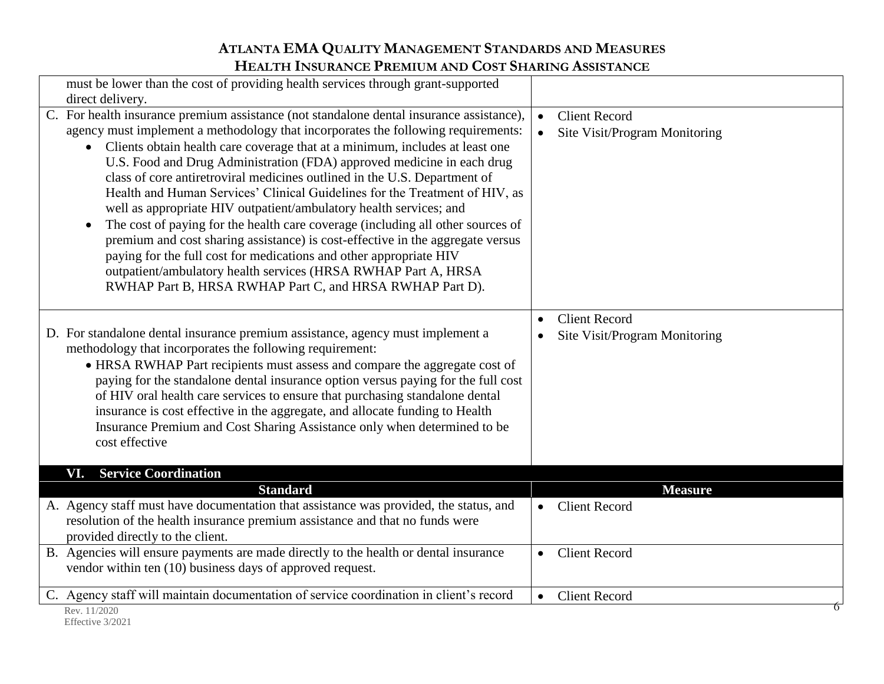| must be lower than the cost of providing health services through grant-supported                                                                                                                                                                                                                                                                                                                                                                                                                                                                                                                                                                                                                                                                                                                                                                                                                                                                                                    |                                                                    |
|-------------------------------------------------------------------------------------------------------------------------------------------------------------------------------------------------------------------------------------------------------------------------------------------------------------------------------------------------------------------------------------------------------------------------------------------------------------------------------------------------------------------------------------------------------------------------------------------------------------------------------------------------------------------------------------------------------------------------------------------------------------------------------------------------------------------------------------------------------------------------------------------------------------------------------------------------------------------------------------|--------------------------------------------------------------------|
| direct delivery.<br>C. For health insurance premium assistance (not standalone dental insurance assistance),<br>agency must implement a methodology that incorporates the following requirements:<br>Clients obtain health care coverage that at a minimum, includes at least one<br>U.S. Food and Drug Administration (FDA) approved medicine in each drug<br>class of core antiretroviral medicines outlined in the U.S. Department of<br>Health and Human Services' Clinical Guidelines for the Treatment of HIV, as<br>well as appropriate HIV outpatient/ambulatory health services; and<br>The cost of paying for the health care coverage (including all other sources of<br>$\bullet$<br>premium and cost sharing assistance) is cost-effective in the aggregate versus<br>paying for the full cost for medications and other appropriate HIV<br>outpatient/ambulatory health services (HRSA RWHAP Part A, HRSA<br>RWHAP Part B, HRSA RWHAP Part C, and HRSA RWHAP Part D). | <b>Client Record</b><br>$\bullet$<br>Site Visit/Program Monitoring |
| D. For standalone dental insurance premium assistance, agency must implement a<br>methodology that incorporates the following requirement:<br>• HRSA RWHAP Part recipients must assess and compare the aggregate cost of<br>paying for the standalone dental insurance option versus paying for the full cost<br>of HIV oral health care services to ensure that purchasing standalone dental<br>insurance is cost effective in the aggregate, and allocate funding to Health<br>Insurance Premium and Cost Sharing Assistance only when determined to be<br>cost effective                                                                                                                                                                                                                                                                                                                                                                                                         | <b>Client Record</b><br>$\bullet$<br>Site Visit/Program Monitoring |
| <b>Service Coordination</b><br>VI.                                                                                                                                                                                                                                                                                                                                                                                                                                                                                                                                                                                                                                                                                                                                                                                                                                                                                                                                                  |                                                                    |
| <b>Standard</b><br>A. Agency staff must have documentation that assistance was provided, the status, and<br>resolution of the health insurance premium assistance and that no funds were<br>provided directly to the client.                                                                                                                                                                                                                                                                                                                                                                                                                                                                                                                                                                                                                                                                                                                                                        | <b>Measure</b><br>• Client Record                                  |
| B. Agencies will ensure payments are made directly to the health or dental insurance<br>vendor within ten (10) business days of approved request.                                                                                                                                                                                                                                                                                                                                                                                                                                                                                                                                                                                                                                                                                                                                                                                                                                   | <b>Client Record</b><br>$\bullet$                                  |
| C. Agency staff will maintain documentation of service coordination in client's record<br>Rev. 11/2020                                                                                                                                                                                                                                                                                                                                                                                                                                                                                                                                                                                                                                                                                                                                                                                                                                                                              | <b>Client Record</b><br>$\bullet$<br>$\Omega$                      |

Effective 3/2021